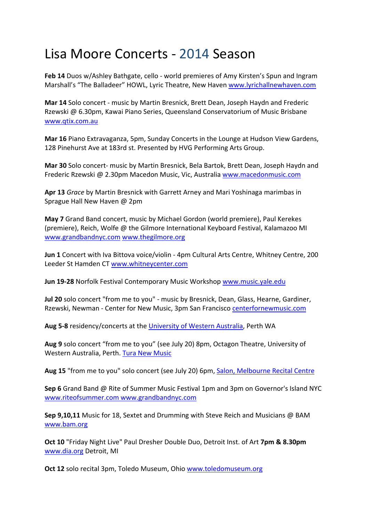## Lisa Moore Concerts ‐ 2014 Season

**Feb 14** Duos w/Ashley Bathgate, cello ‐ world premieres of Amy Kirsten's Spun and Ingram Marshall's "The Balladeer" HOWL, Lyric Theatre, New Haven www.lyrichallnewhaven.com

**Mar 14** Solo concert ‐ music by Martin Bresnick, Brett Dean, Joseph Haydn and Frederic Rzewski @ 6.30pm, Kawai Piano Series, Queensland Conservatorium of Music Brisbane www.qtix.com.au

**Mar 16** Piano Extravaganza, 5pm, Sunday Concerts in the Lounge at Hudson View Gardens, 128 Pinehurst Ave at 183rd st. Presented by HVG Performing Arts Group.

**Mar 30** Solo concert‐ music by Martin Bresnick, Bela Bartok, Brett Dean, Joseph Haydn and Frederic Rzewski @ 2.30pm Macedon Music, Vic, Australia www.macedonmusic.com

**Apr 13** *Grace* by Martin Bresnick with Garrett Arney and Mari Yoshinaga marimbas in Sprague Hall New Haven @ 2pm

**May 7** Grand Band concert, music by Michael Gordon (world premiere), Paul Kerekes (premiere), Reich, Wolfe @ the Gilmore International Keyboard Festival, Kalamazoo MI www.grandbandnyc.com www.thegilmore.org

**Jun 1** Concert with Iva Bittova voice/violin ‐ 4pm Cultural Arts Centre, Whitney Centre, 200 Leeder St Hamden CT www.whitneycenter.com

**Jun 19‐28** Norfolk Festival Contemporary Music Workshop www.music.yale.edu

**Jul 20** solo concert "from me to you" ‐ music by Bresnick, Dean, Glass, Hearne, Gardiner, Rzewski, Newman ‐ Center for New Music, 3pm San Francisco centerfornewmusic.com

**Aug 5‐8** residency/concerts at the University of Western Australia, Perth WA

**Aug 9** solo concert "from me to you" (see July 20) 8pm, Octagon Theatre, University of Western Australia, Perth. Tura New Music

**Aug 15** "from me to you" solo concert (see July 20) 6pm, Salon, Melbourne Recital Centre

**Sep 6** Grand Band @ Rite of Summer Music Festival 1pm and 3pm on Governor's Island NYC www.riteofsummer.com www.grandbandnyc.com

**Sep 9,10,11** Music for 18, Sextet and Drumming with Steve Reich and Musicians @ BAM www.bam.org

**Oct 10** "Friday Night Live" Paul Dresher Double Duo, Detroit Inst. of Art **7pm & 8.30pm** www.dia.org Detroit, MI

**Oct 12** solo recital 3pm, Toledo Museum, Ohio www.toledomuseum.org